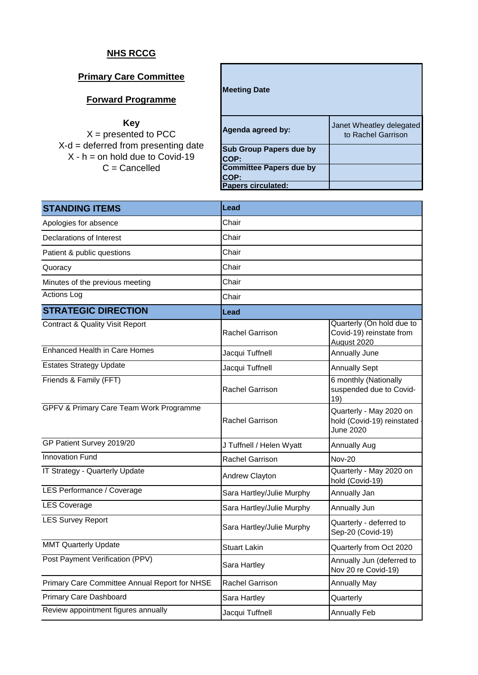## **NHS RCCG**

## **Primary Care Committee**

## **Forward Programme**

## **Key**

 $X =$  presented to PCC X-d = deferred from presenting date  $X - h =$  on hold due to Covid-19 C = Cancelled

| <b>Meeting Date</b>                    |                                                |
|----------------------------------------|------------------------------------------------|
| Agenda agreed by:                      | Janet Wheatley delegated<br>to Rachel Garrison |
| <b>Sub Group Papers due by</b><br>COP: |                                                |
| <b>Committee Papers due by</b><br>COP: |                                                |
| <b>Papers circulated:</b>              |                                                |

| <b>STANDING ITEMS</b>                         | <b>Lead</b>               |                                                                      |  |
|-----------------------------------------------|---------------------------|----------------------------------------------------------------------|--|
| Apologies for absence                         | Chair                     |                                                                      |  |
| Declarations of Interest                      | Chair                     |                                                                      |  |
| Patient & public questions                    | Chair                     |                                                                      |  |
| Quoracy                                       | Chair                     |                                                                      |  |
| Minutes of the previous meeting               | Chair                     |                                                                      |  |
| <b>Actions Log</b>                            | Chair                     |                                                                      |  |
| <b>STRATEGIC DIRECTION</b>                    | Lead                      |                                                                      |  |
| <b>Contract &amp; Quality Visit Report</b>    | <b>Rachel Garrison</b>    | Quarterly (On hold due to<br>Covid-19) reinstate from<br>August 2020 |  |
| <b>Enhanced Health in Care Homes</b>          | Jacqui Tuffnell           | <b>Annually June</b>                                                 |  |
| <b>Estates Strategy Update</b>                | Jacqui Tuffnell           | <b>Annually Sept</b>                                                 |  |
| Friends & Family (FFT)                        | Rachel Garrison           | 6 monthly (Nationally<br>suspended due to Covid-<br>19)              |  |
| GPFV & Primary Care Team Work Programme       | Rachel Garrison           | Quarterly - May 2020 on<br>hold (Covid-19) reinstated<br>June 2020   |  |
| GP Patient Survey 2019/20                     | J Tuffnell / Helen Wyatt  | <b>Annually Aug</b>                                                  |  |
| <b>Innovation Fund</b>                        | <b>Rachel Garrison</b>    | <b>Nov-20</b>                                                        |  |
| IT Strategy - Quarterly Update                | Andrew Clayton            | Quarterly - May 2020 on<br>hold (Covid-19)                           |  |
| LES Performance / Coverage                    | Sara Hartley/Julie Murphy | Annually Jan                                                         |  |
| <b>LES Coverage</b>                           | Sara Hartley/Julie Murphy | Annually Jun                                                         |  |
| <b>LES Survey Report</b>                      | Sara Hartley/Julie Murphy | Quarterly - deferred to<br>Sep-20 (Covid-19)                         |  |
| <b>MMT Quarterly Update</b>                   | <b>Stuart Lakin</b>       | Quarterly from Oct 2020                                              |  |
| Post Payment Verification (PPV)               | Sara Hartley              | Annually Jun (deferred to<br>Nov 20 re Covid-19)                     |  |
| Primary Care Committee Annual Report for NHSE | Rachel Garrison           | <b>Annually May</b>                                                  |  |
| <b>Primary Care Dashboard</b>                 | Sara Hartley              | Quarterly                                                            |  |
| Review appointment figures annually           | Jacqui Tuffnell           | <b>Annually Feb</b>                                                  |  |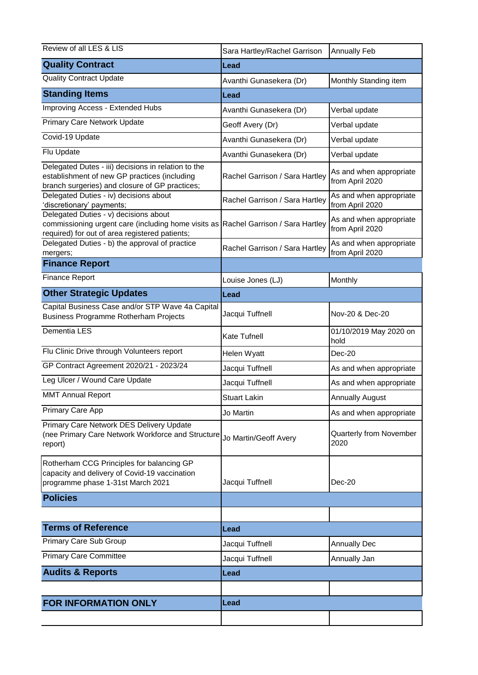| Review of all LES & LIS                                                                                                                                                       | Sara Hartley/Rachel Garrison   | <b>Annually Feb</b>                        |
|-------------------------------------------------------------------------------------------------------------------------------------------------------------------------------|--------------------------------|--------------------------------------------|
| <b>Quality Contract</b>                                                                                                                                                       | Lead                           |                                            |
| <b>Quality Contract Update</b>                                                                                                                                                | Avanthi Gunasekera (Dr)        | Monthly Standing item                      |
| <b>Standing Items</b>                                                                                                                                                         | Lead                           |                                            |
| Improving Access - Extended Hubs                                                                                                                                              | Avanthi Gunasekera (Dr)        | Verbal update                              |
| Primary Care Network Update                                                                                                                                                   | Geoff Avery (Dr)               | Verbal update                              |
| Covid-19 Update                                                                                                                                                               | Avanthi Gunasekera (Dr)        | Verbal update                              |
| Flu Update                                                                                                                                                                    | Avanthi Gunasekera (Dr)        | Verbal update                              |
| Delegated Dutes - iii) decisions in relation to the<br>establishment of new GP practices (including<br>branch surgeries) and closure of GP practices;                         | Rachel Garrison / Sara Hartley | As and when appropriate<br>from April 2020 |
| Delegated Duties - iv) decisions about<br>'discretionary' payments;                                                                                                           | Rachel Garrison / Sara Hartley | As and when appropriate<br>from April 2020 |
| Delegated Duties - v) decisions about<br>commissioning urgent care (including home visits as Rachel Garrison / Sara Hartley<br>required) for out of area registered patients; |                                | As and when appropriate<br>from April 2020 |
| Delegated Duties - b) the approval of practice<br>mergers;                                                                                                                    | Rachel Garrison / Sara Hartley | As and when appropriate<br>from April 2020 |
| <b>Finance Report</b>                                                                                                                                                         |                                |                                            |
| <b>Finance Report</b>                                                                                                                                                         | Louise Jones (LJ)              | Monthly                                    |
| <b>Other Strategic Updates</b>                                                                                                                                                | Lead                           |                                            |
| Capital Business Case and/or STP Wave 4a Capital<br>Business Programme Rotherham Projects                                                                                     | Jacqui Tuffnell                | Nov-20 & Dec-20                            |
| Dementia LES                                                                                                                                                                  | <b>Kate Tufnell</b>            | 01/10/2019 May 2020 on<br>hold             |
| Flu Clinic Drive through Volunteers report                                                                                                                                    | Helen Wyatt                    | Dec-20                                     |
| GP Contract Agreement 2020/21 - 2023/24                                                                                                                                       | Jacqui Tuffnell                | As and when appropriate                    |
| Leg Ulcer / Wound Care Update                                                                                                                                                 | Jacqui Tuffnell                | As and when appropriate                    |
| <b>MMT Annual Report</b>                                                                                                                                                      | <b>Stuart Lakin</b>            | <b>Annually August</b>                     |
| Primary Care App                                                                                                                                                              | Jo Martin                      | As and when appropriate                    |
| Primary Care Network DES Delivery Update<br>(nee Primary Care Network Workforce and Structure<br>report)                                                                      | Jo Martin/Geoff Avery          | Quarterly from November<br>2020            |
| Rotherham CCG Principles for balancing GP<br>capacity and delivery of Covid-19 vaccination<br>programme phase 1-31st March 2021                                               | Jacqui Tuffnell                | $Dec-20$                                   |
| <b>Policies</b>                                                                                                                                                               |                                |                                            |
|                                                                                                                                                                               |                                |                                            |
| <b>Terms of Reference</b>                                                                                                                                                     | Lead                           |                                            |
| Primary Care Sub Group                                                                                                                                                        | Jacqui Tuffnell                | <b>Annually Dec</b>                        |
| <b>Primary Care Committee</b>                                                                                                                                                 | Jacqui Tuffnell                | Annually Jan                               |
| <b>Audits &amp; Reports</b>                                                                                                                                                   | Lead                           |                                            |
|                                                                                                                                                                               |                                |                                            |
| <b>FOR INFORMATION ONLY</b>                                                                                                                                                   | Lead                           |                                            |
|                                                                                                                                                                               |                                |                                            |